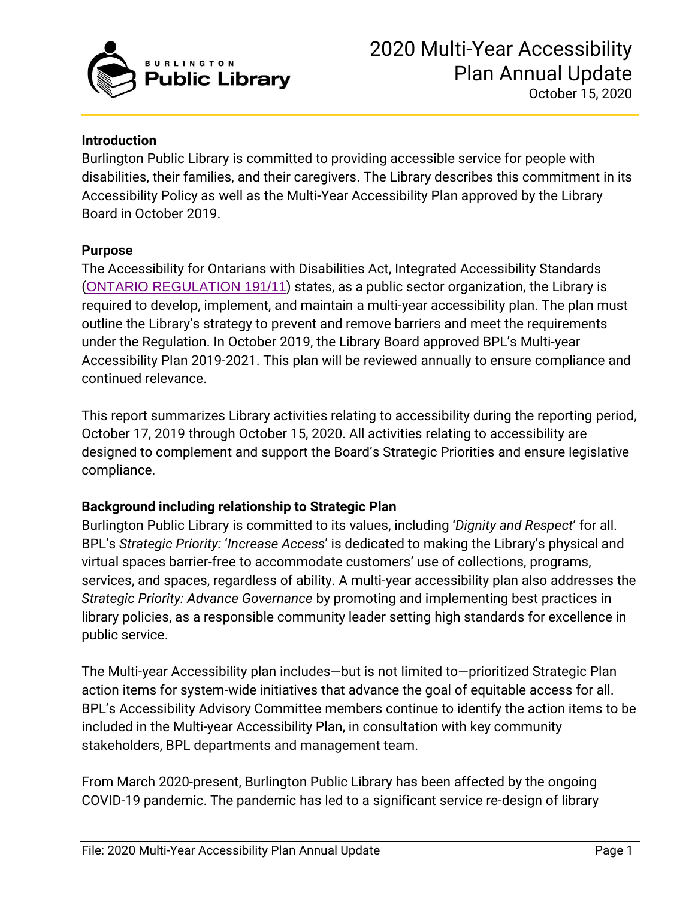

#### **Introduction**

Burlington Public Library is committed to providing accessible service for people with disabilities, their families, and their caregivers. The Library describes this commitment in its Accessibility Policy as well as the Multi-Year Accessibility Plan approved by the Library Board in October 2019.

#### **Purpose**

The Accessibility for Ontarians with Disabilities Act, Integrated Accessibility Standards ([ONTARIO REGULATION 191/11](https://www.ontario.ca/laws/regulation/r11191)) states, as a public sector organization, the Library is required to develop, implement, and maintain a multi-year accessibility plan. The plan must outline the Library's strategy to prevent and remove barriers and meet the requirements under the Regulation. In October 2019, the Library Board approved BPL's Multi-year Accessibility Plan 2019-2021. This plan will be reviewed annually to ensure compliance and continued relevance.

This report summarizes Library activities relating to accessibility during the reporting period, October 17, 2019 through October 15, 2020. All activities relating to accessibility are designed to complement and support the Board's Strategic Priorities and ensure legislative compliance.

#### **Background including relationship to Strategic Plan**

Burlington Public Library is committed to its values, including '*Dignity and Respect*' for all. BPL's *Strategic Priority:* '*Increase Access*' is dedicated to making the Library's physical and virtual spaces barrier-free to accommodate customers' use of collections, programs, services, and spaces, regardless of ability. A multi-year accessibility plan also addresses the *Strategic Priority: Advance Governance* by promoting and implementing best practices in library policies, as a responsible community leader setting high standards for excellence in public service.

The Multi-year Accessibility plan includes—but is not limited to—prioritized Strategic Plan action items for system-wide initiatives that advance the goal of equitable access for all. BPL's Accessibility Advisory Committee members continue to identify the action items to be included in the Multi-year Accessibility Plan, in consultation with key community stakeholders, BPL departments and management team.

From March 2020-present, Burlington Public Library has been affected by the ongoing COVID-19 pandemic. The pandemic has led to a significant service re-design of library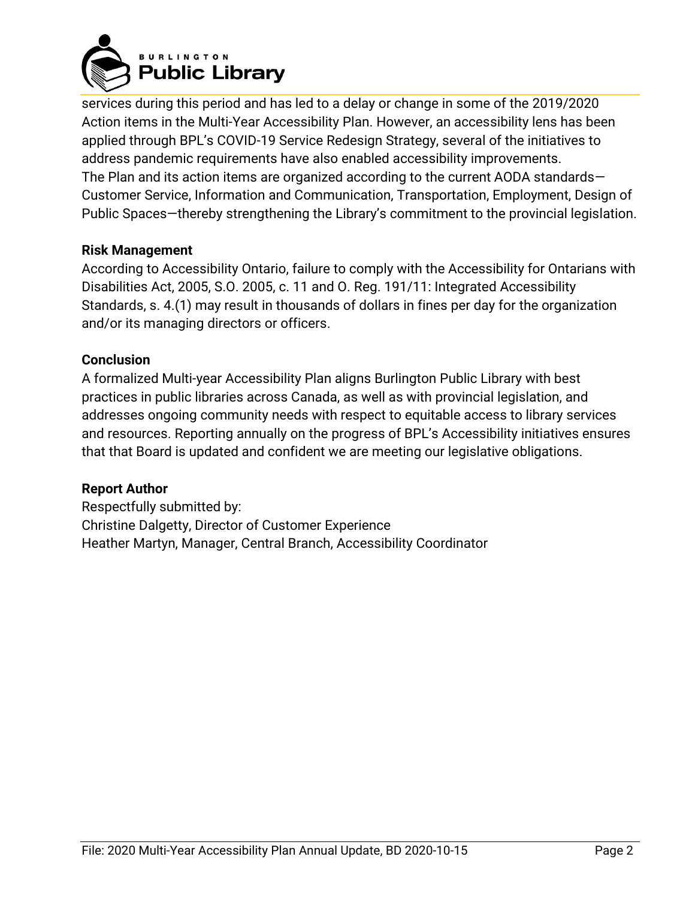

services during this period and has led to a delay or change in some of the 2019/2020 Action items in the Multi-Year Accessibility Plan. However, an accessibility lens has been applied through BPL's COVID-19 Service Redesign Strategy, several of the initiatives to address pandemic requirements have also enabled accessibility improvements. The Plan and its action items are organized according to the current AODA standards— Customer Service, Information and Communication, Transportation, Employment, Design of Public Spaces—thereby strengthening the Library's commitment to the provincial legislation.

### **Risk Management**

According to Accessibility Ontario, failure to comply with the Accessibility for Ontarians with Disabilities Act, 2005, S.O. 2005, c. 11 and O. Reg. 191/11: Integrated Accessibility Standards, s. 4.(1) may result in thousands of dollars in fines per day for the organization and/or its managing directors or officers.

### **Conclusion**

A formalized Multi-year Accessibility Plan aligns Burlington Public Library with best practices in public libraries across Canada, as well as with provincial legislation, and addresses ongoing community needs with respect to equitable access to library services and resources. Reporting annually on the progress of BPL's Accessibility initiatives ensures that that Board is updated and confident we are meeting our legislative obligations.

#### **Report Author**

Respectfully submitted by: Christine Dalgetty, Director of Customer Experience Heather Martyn, Manager, Central Branch, Accessibility Coordinator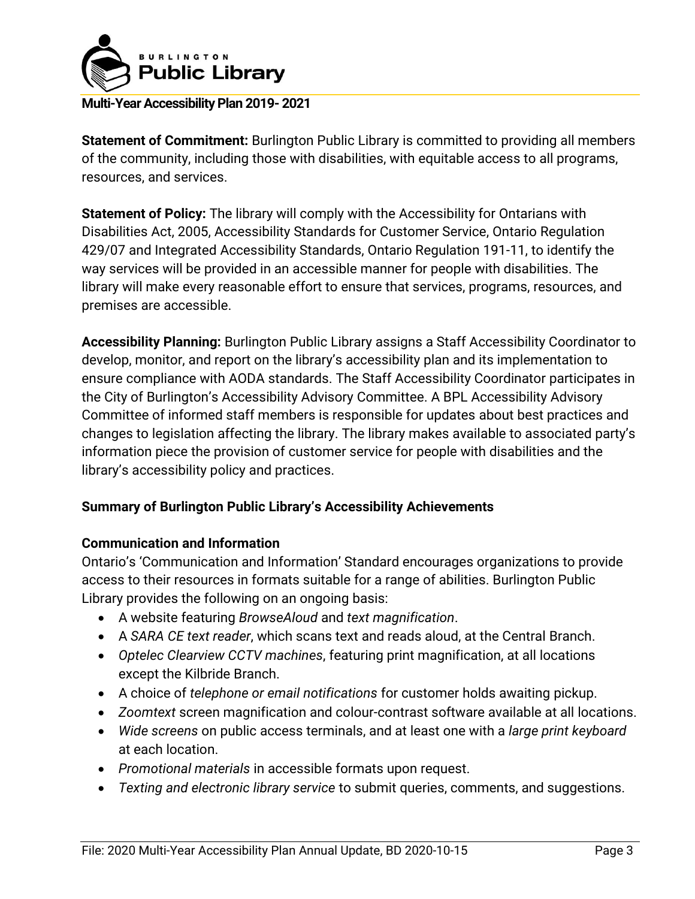

**Statement of Commitment:** Burlington Public Library is committed to providing all members of the community, including those with disabilities, with equitable access to all programs, resources, and services.

**Statement of Policy:** The library will comply with the Accessibility for Ontarians with Disabilities Act, 2005, Accessibility Standards for Customer Service, Ontario Regulation 429/07 and Integrated Accessibility Standards, Ontario Regulation 191-11, to identify the way services will be provided in an accessible manner for people with disabilities. The library will make every reasonable effort to ensure that services, programs, resources, and premises are accessible.

**Accessibility Planning:** Burlington Public Library assigns a Staff Accessibility Coordinator to develop, monitor, and report on the library's accessibility plan and its implementation to ensure compliance with AODA standards. The Staff Accessibility Coordinator participates in the City of Burlington's Accessibility Advisory Committee. A BPL Accessibility Advisory Committee of informed staff members is responsible for updates about best practices and changes to legislation affecting the library. The library makes available to associated party's information piece the provision of customer service for people with disabilities and the library's accessibility policy and practices.

## **Summary of Burlington Public Library's Accessibility Achievements**

## **Communication and Information**

Ontario's 'Communication and Information' Standard encourages organizations to provide access to their resources in formats suitable for a range of abilities. Burlington Public Library provides the following on an ongoing basis:

- A website featuring *BrowseAloud* and *text magnification*.
- A *SARA CE text reader*, which scans text and reads aloud, at the Central Branch.
- *Optelec Clearview CCTV machines*, featuring print magnification, at all locations except the Kilbride Branch.
- A choice of *telephone or email notifications* for customer holds awaiting pickup.
- *Zoomtext* screen magnification and colour-contrast software available at all locations.
- *Wide screens* on public access terminals, and at least one with a *large print keyboard* at each location.
- *Promotional materials* in accessible formats upon request.
- *Texting and electronic library service* to submit queries, comments, and suggestions.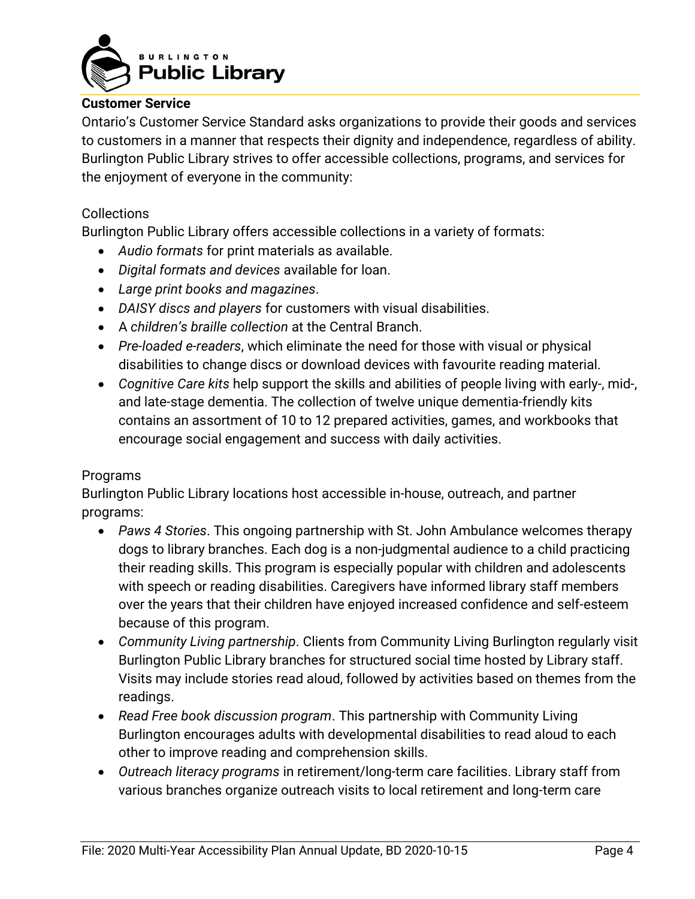

#### **Customer Service**

Ontario's Customer Service Standard asks organizations to provide their goods and services to customers in a manner that respects their dignity and independence, regardless of ability. Burlington Public Library strives to offer accessible collections, programs, and services for the enjoyment of everyone in the community:

#### **Collections**

Burlington Public Library offers accessible collections in a variety of formats:

- *Audio formats* for print materials as available.
- *Digital formats and devices* available for loan.
- *Large print books and magazines*.
- *DAISY discs and players* for customers with visual disabilities.
- A *children's braille collection* at the Central Branch.
- *Pre-loaded e-readers*, which eliminate the need for those with visual or physical disabilities to change discs or download devices with favourite reading material.
- *Cognitive Care kits* help support the skills and abilities of people living with early-, mid-, and late-stage dementia. The collection of twelve unique dementia-friendly kits contains an assortment of 10 to 12 prepared activities, games, and workbooks that encourage social engagement and success with daily activities.

#### **Programs**

Burlington Public Library locations host accessible in-house, outreach, and partner programs:

- *Paws 4 Stories*. This ongoing partnership with St. John Ambulance welcomes therapy dogs to library branches. Each dog is a non-judgmental audience to a child practicing their reading skills. This program is especially popular with children and adolescents with speech or reading disabilities. Caregivers have informed library staff members over the years that their children have enjoyed increased confidence and self-esteem because of this program.
- *Community Living partnership*. Clients from Community Living Burlington regularly visit Burlington Public Library branches for structured social time hosted by Library staff. Visits may include stories read aloud, followed by activities based on themes from the readings.
- *Read Free book discussion program*. This partnership with Community Living Burlington encourages adults with developmental disabilities to read aloud to each other to improve reading and comprehension skills.
- *Outreach literacy programs* in retirement/long-term care facilities. Library staff from various branches organize outreach visits to local retirement and long-term care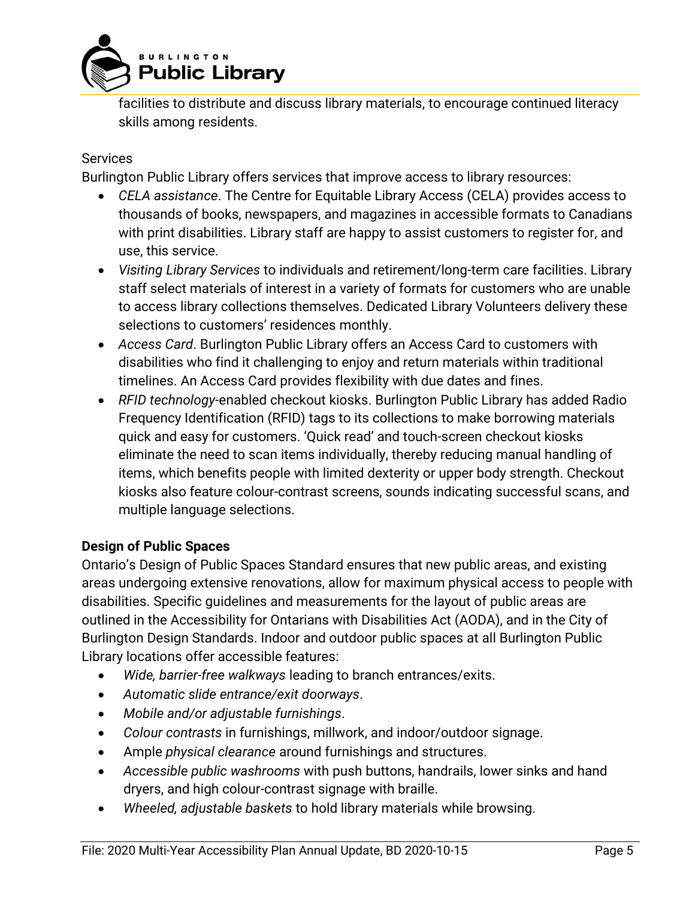

facilities to distribute and discuss library materials, to encourage continued literacy skills among residents.

## Services

Burlington Public Library offers services that improve access to library resources:

- *CELA assistance*. The Centre for Equitable Library Access (CELA) provides access to thousands of books, newspapers, and magazines in accessible formats to Canadians with print disabilities. Library staff are happy to assist customers to register for, and use, this service.
- *Visiting Library Services* to individuals and retirement/long-term care facilities. Library staff select materials of interest in a variety of formats for customers who are unable to access library collections themselves. Dedicated Library Volunteers delivery these selections to customers' residences monthly.
- *Access Card*. Burlington Public Library offers an Access Card to customers with disabilities who find it challenging to enjoy and return materials within traditional timelines. An Access Card provides flexibility with due dates and fines.
- *RFID technology*-enabled checkout kiosks. Burlington Public Library has added Radio Frequency Identification (RFID) tags to its collections to make borrowing materials quick and easy for customers. 'Quick read' and touch-screen checkout kiosks eliminate the need to scan items individually, thereby reducing manual handling of items, which benefits people with limited dexterity or upper body strength. Checkout kiosks also feature colour-contrast screens, sounds indicating successful scans, and multiple language selections.

## **Design of Public Spaces**

Ontario's Design of Public Spaces Standard ensures that new public areas, and existing areas undergoing extensive renovations, allow for maximum physical access to people with disabilities. Specific guidelines and measurements for the layout of public areas are outlined in the Accessibility for Ontarians with Disabilities Act (AODA), and in the City of Burlington Design Standards. Indoor and outdoor public spaces at all Burlington Public Library locations offer accessible features:

- *Wide, barrier-free walkways* leading to branch entrances/exits.
- *Automatic slide entrance/exit doorways*.
- *Mobile and/or adjustable furnishings*.
- *Colour contrasts* in furnishings, millwork, and indoor/outdoor signage.
- Ample *physical clearance* around furnishings and structures.
- *Accessible public washrooms* with push buttons, handrails, lower sinks and hand dryers, and high colour-contrast signage with braille.
- *Wheeled, adjustable baskets* to hold library materials while browsing.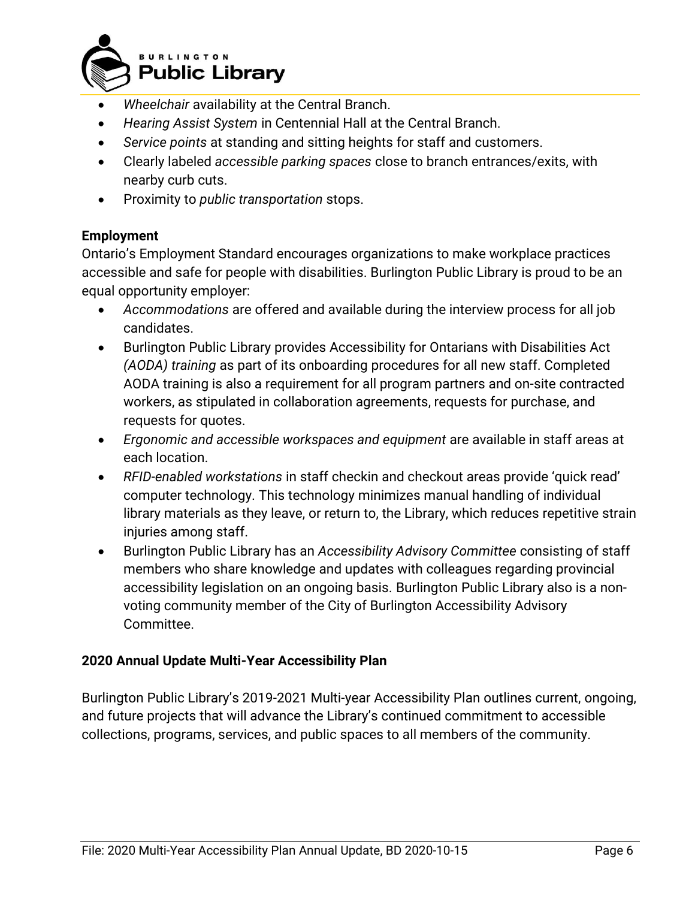

- *Wheelchair* availability at the Central Branch.
- *Hearing Assist System* in Centennial Hall at the Central Branch.
- *Service points* at standing and sitting heights for staff and customers.
- Clearly labeled *accessible parking spaces* close to branch entrances/exits, with nearby curb cuts.
- Proximity to *public transportation* stops.

# **Employment**

Ontario's Employment Standard encourages organizations to make workplace practices accessible and safe for people with disabilities. Burlington Public Library is proud to be an equal opportunity employer:

- *Accommodations* are offered and available during the interview process for all job candidates.
- Burlington Public Library provides Accessibility for Ontarians with Disabilities Act *(AODA) training* as part of its onboarding procedures for all new staff. Completed AODA training is also a requirement for all program partners and on-site contracted workers, as stipulated in collaboration agreements, requests for purchase, and requests for quotes.
- *Ergonomic and accessible workspaces and equipment* are available in staff areas at each location.
- *RFID-enabled workstations* in staff checkin and checkout areas provide 'quick read' computer technology. This technology minimizes manual handling of individual library materials as they leave, or return to, the Library, which reduces repetitive strain injuries among staff.
- Burlington Public Library has an *Accessibility Advisory Committee* consisting of staff members who share knowledge and updates with colleagues regarding provincial accessibility legislation on an ongoing basis. Burlington Public Library also is a nonvoting community member of the City of Burlington Accessibility Advisory Committee.

# **2020 Annual Update Multi-Year Accessibility Plan**

Burlington Public Library's 2019-2021 Multi-year Accessibility Plan outlines current, ongoing, and future projects that will advance the Library's continued commitment to accessible collections, programs, services, and public spaces to all members of the community.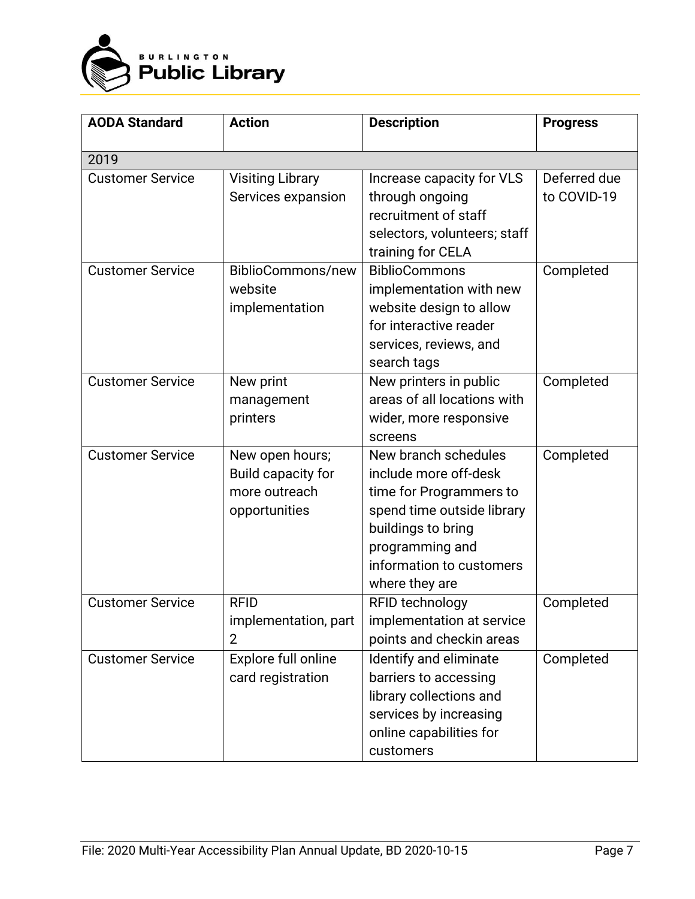

| <b>AODA Standard</b>    | <b>Action</b>           | <b>Description</b>           | <b>Progress</b> |
|-------------------------|-------------------------|------------------------------|-----------------|
|                         |                         |                              |                 |
| 2019                    |                         |                              |                 |
| <b>Customer Service</b> | <b>Visiting Library</b> | Increase capacity for VLS    | Deferred due    |
|                         | Services expansion      | through ongoing              | to COVID-19     |
|                         |                         | recruitment of staff         |                 |
|                         |                         | selectors, volunteers; staff |                 |
|                         |                         | training for CELA            |                 |
| <b>Customer Service</b> | BiblioCommons/new       | <b>BiblioCommons</b>         | Completed       |
|                         | website                 | implementation with new      |                 |
|                         | implementation          | website design to allow      |                 |
|                         |                         | for interactive reader       |                 |
|                         |                         | services, reviews, and       |                 |
|                         |                         | search tags                  |                 |
| <b>Customer Service</b> | New print               | New printers in public       | Completed       |
|                         | management              | areas of all locations with  |                 |
|                         | printers                | wider, more responsive       |                 |
|                         |                         | screens                      |                 |
| <b>Customer Service</b> | New open hours;         | New branch schedules         | Completed       |
|                         | Build capacity for      | include more off-desk        |                 |
|                         | more outreach           | time for Programmers to      |                 |
|                         | opportunities           | spend time outside library   |                 |
|                         |                         | buildings to bring           |                 |
|                         |                         | programming and              |                 |
|                         |                         | information to customers     |                 |
|                         |                         | where they are               |                 |
| <b>Customer Service</b> | <b>RFID</b>             | RFID technology              | Completed       |
|                         | implementation, part    | implementation at service    |                 |
|                         | $\overline{2}$          | points and checkin areas     |                 |
| <b>Customer Service</b> | Explore full online     | Identify and eliminate       | Completed       |
|                         | card registration       | barriers to accessing        |                 |
|                         |                         | library collections and      |                 |
|                         |                         | services by increasing       |                 |
|                         |                         | online capabilities for      |                 |
|                         |                         | customers                    |                 |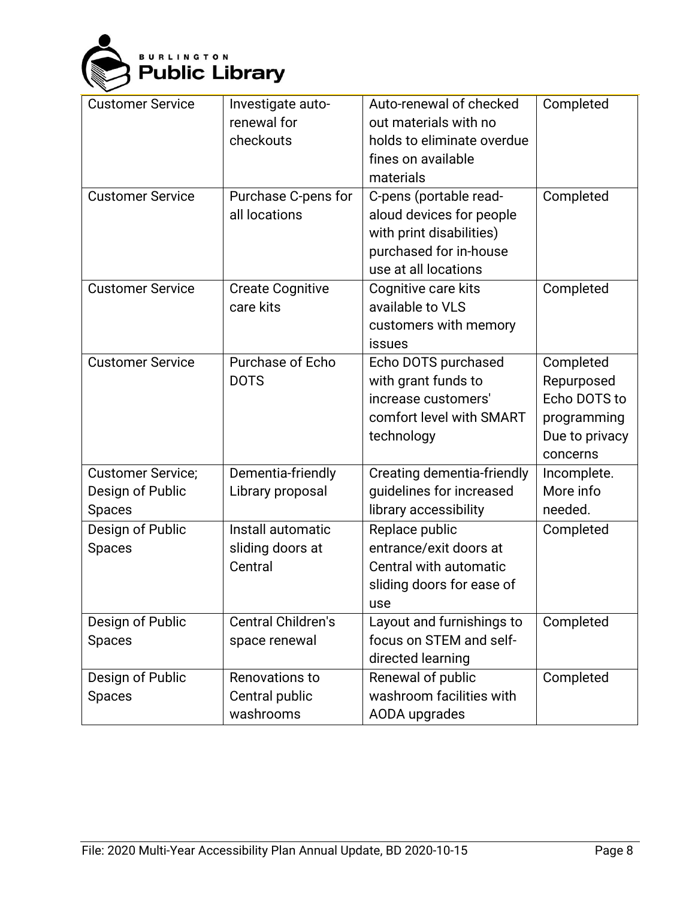

| <b>Customer Service</b><br><b>Customer Service</b>            | Investigate auto-<br>renewal for<br>checkouts<br>Purchase C-pens for<br>all locations | Auto-renewal of checked<br>out materials with no<br>holds to eliminate overdue<br>fines on available<br>materials<br>C-pens (portable read-<br>aloud devices for people<br>with print disabilities)<br>purchased for in-house<br>use at all locations | Completed<br>Completed                                                               |
|---------------------------------------------------------------|---------------------------------------------------------------------------------------|-------------------------------------------------------------------------------------------------------------------------------------------------------------------------------------------------------------------------------------------------------|--------------------------------------------------------------------------------------|
| <b>Customer Service</b>                                       | <b>Create Cognitive</b><br>care kits                                                  | Cognitive care kits<br>available to VLS<br>customers with memory<br>issues                                                                                                                                                                            | Completed                                                                            |
| <b>Customer Service</b>                                       | Purchase of Echo<br><b>DOTS</b>                                                       | Echo DOTS purchased<br>with grant funds to<br>increase customers'<br>comfort level with SMART<br>technology                                                                                                                                           | Completed<br>Repurposed<br>Echo DOTS to<br>programming<br>Due to privacy<br>concerns |
| <b>Customer Service;</b><br>Design of Public<br><b>Spaces</b> | Dementia-friendly<br>Library proposal                                                 | Creating dementia-friendly<br>guidelines for increased<br>library accessibility                                                                                                                                                                       | Incomplete.<br>More info<br>needed.                                                  |
| Design of Public<br><b>Spaces</b>                             | Install automatic<br>sliding doors at<br>Central                                      | Replace public<br>entrance/exit doors at<br>Central with automatic<br>sliding doors for ease of<br>use                                                                                                                                                | Completed                                                                            |
| Design of Public<br><b>Spaces</b>                             | <b>Central Children's</b><br>space renewal                                            | Layout and furnishings to<br>focus on STEM and self-<br>directed learning                                                                                                                                                                             | Completed                                                                            |
| Design of Public<br><b>Spaces</b>                             | Renovations to<br>Central public<br>washrooms                                         | Renewal of public<br>washroom facilities with<br>AODA upgrades                                                                                                                                                                                        | Completed                                                                            |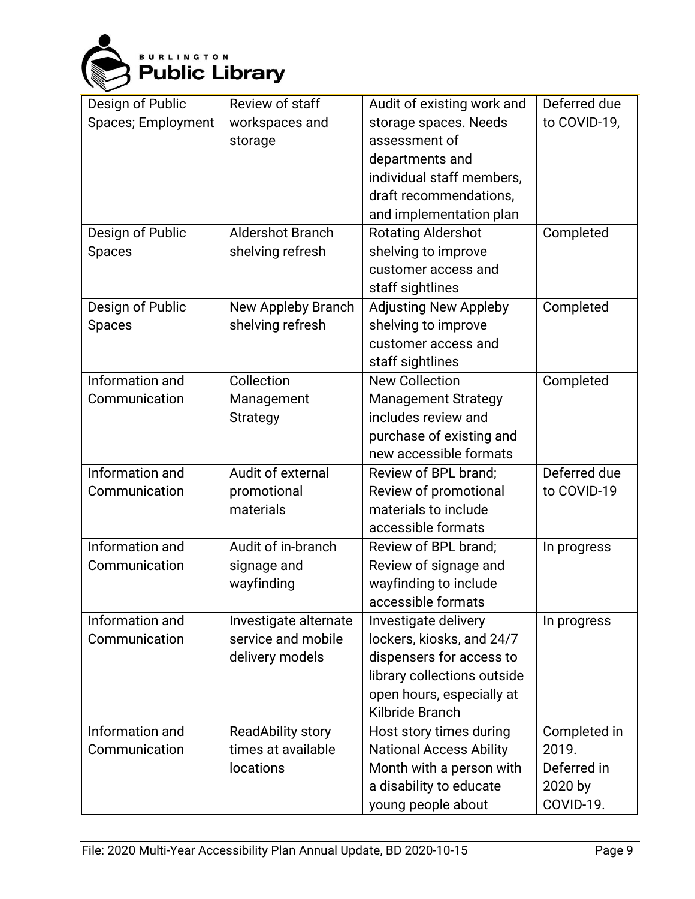

| Design of Public   | Review of staff         | Audit of existing work and     | Deferred due |
|--------------------|-------------------------|--------------------------------|--------------|
| Spaces; Employment | workspaces and          | storage spaces. Needs          | to COVID-19, |
|                    | storage                 | assessment of                  |              |
|                    |                         | departments and                |              |
|                    |                         | individual staff members,      |              |
|                    |                         | draft recommendations,         |              |
|                    |                         | and implementation plan        |              |
| Design of Public   | <b>Aldershot Branch</b> | <b>Rotating Aldershot</b>      | Completed    |
| <b>Spaces</b>      | shelving refresh        | shelving to improve            |              |
|                    |                         | customer access and            |              |
|                    |                         | staff sightlines               |              |
| Design of Public   | New Appleby Branch      | <b>Adjusting New Appleby</b>   | Completed    |
| <b>Spaces</b>      | shelving refresh        | shelving to improve            |              |
|                    |                         | customer access and            |              |
|                    |                         | staff sightlines               |              |
| Information and    | Collection              | <b>New Collection</b>          | Completed    |
| Communication      | Management              | <b>Management Strategy</b>     |              |
|                    | <b>Strategy</b>         | includes review and            |              |
|                    |                         | purchase of existing and       |              |
|                    |                         | new accessible formats         |              |
| Information and    | Audit of external       | Review of BPL brand;           | Deferred due |
| Communication      | promotional             | Review of promotional          | to COVID-19  |
|                    | materials               | materials to include           |              |
|                    |                         | accessible formats             |              |
| Information and    | Audit of in-branch      | Review of BPL brand;           | In progress  |
| Communication      | signage and             | Review of signage and          |              |
|                    | wayfinding              | wayfinding to include          |              |
|                    |                         | accessible formats             |              |
| Information and    | Investigate alternate   | Investigate delivery           | In progress  |
| Communication      | service and mobile      | lockers, kiosks, and 24/7      |              |
|                    | delivery models         | dispensers for access to       |              |
|                    |                         | library collections outside    |              |
|                    |                         | open hours, especially at      |              |
|                    |                         | Kilbride Branch                |              |
| Information and    | ReadAbility story       | Host story times during        | Completed in |
| Communication      | times at available      | <b>National Access Ability</b> | 2019.        |
|                    | locations               | Month with a person with       | Deferred in  |
|                    |                         | a disability to educate        | 2020 by      |
|                    |                         | young people about             | COVID-19.    |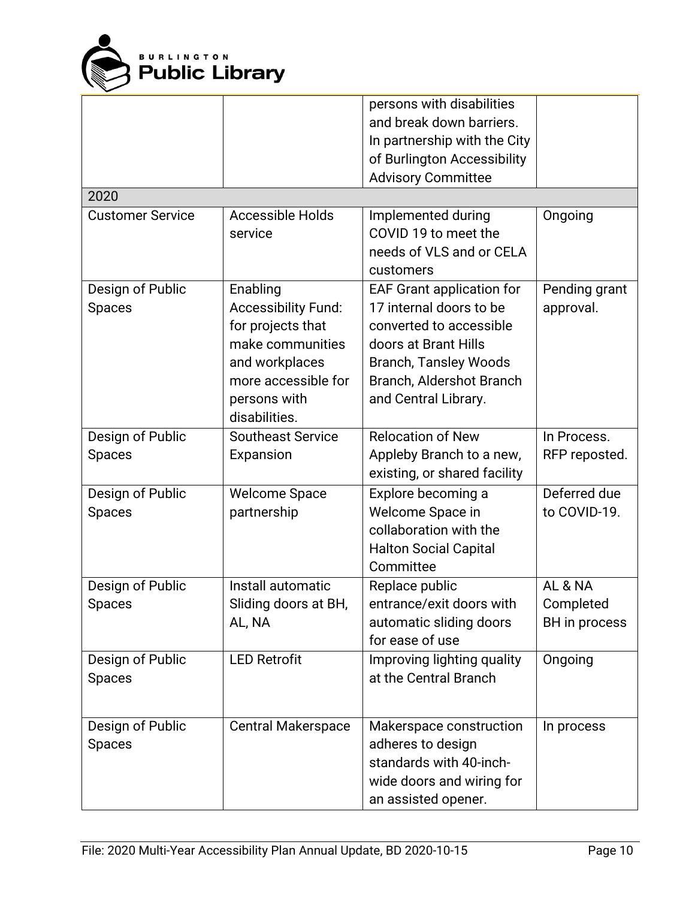

|                                   |                                                                                                                                                           | persons with disabilities<br>and break down barriers.<br>In partnership with the City<br>of Burlington Accessibility<br><b>Advisory Committee</b>                                                  |                                       |
|-----------------------------------|-----------------------------------------------------------------------------------------------------------------------------------------------------------|----------------------------------------------------------------------------------------------------------------------------------------------------------------------------------------------------|---------------------------------------|
| 2020                              |                                                                                                                                                           |                                                                                                                                                                                                    |                                       |
| <b>Customer Service</b>           | <b>Accessible Holds</b><br>service                                                                                                                        | Implemented during<br>COVID 19 to meet the<br>needs of VLS and or CELA<br>customers                                                                                                                | Ongoing                               |
| Design of Public<br><b>Spaces</b> | Enabling<br><b>Accessibility Fund:</b><br>for projects that<br>make communities<br>and workplaces<br>more accessible for<br>persons with<br>disabilities. | <b>EAF Grant application for</b><br>17 internal doors to be<br>converted to accessible<br>doors at Brant Hills<br><b>Branch, Tansley Woods</b><br>Branch, Aldershot Branch<br>and Central Library. | Pending grant<br>approval.            |
| Design of Public                  | <b>Southeast Service</b>                                                                                                                                  | <b>Relocation of New</b>                                                                                                                                                                           | In Process.                           |
| <b>Spaces</b>                     | Expansion                                                                                                                                                 | Appleby Branch to a new,<br>existing, or shared facility                                                                                                                                           | RFP reposted.                         |
| Design of Public<br><b>Spaces</b> | <b>Welcome Space</b><br>partnership                                                                                                                       | Explore becoming a<br>Welcome Space in<br>collaboration with the<br><b>Halton Social Capital</b><br>Committee                                                                                      | Deferred due<br>to COVID-19.          |
| Design of Public<br>Spaces        | Install automatic<br>Sliding doors at BH,<br>AL, NA                                                                                                       | Replace public<br>entrance/exit doors with<br>automatic sliding doors<br>for ease of use                                                                                                           | AL & NA<br>Completed<br>BH in process |
| Design of Public<br><b>Spaces</b> | <b>LED Retrofit</b>                                                                                                                                       | Improving lighting quality<br>at the Central Branch                                                                                                                                                | Ongoing                               |
| Design of Public<br><b>Spaces</b> | <b>Central Makerspace</b>                                                                                                                                 | Makerspace construction<br>adheres to design<br>standards with 40-inch-<br>wide doors and wiring for<br>an assisted opener.                                                                        | In process                            |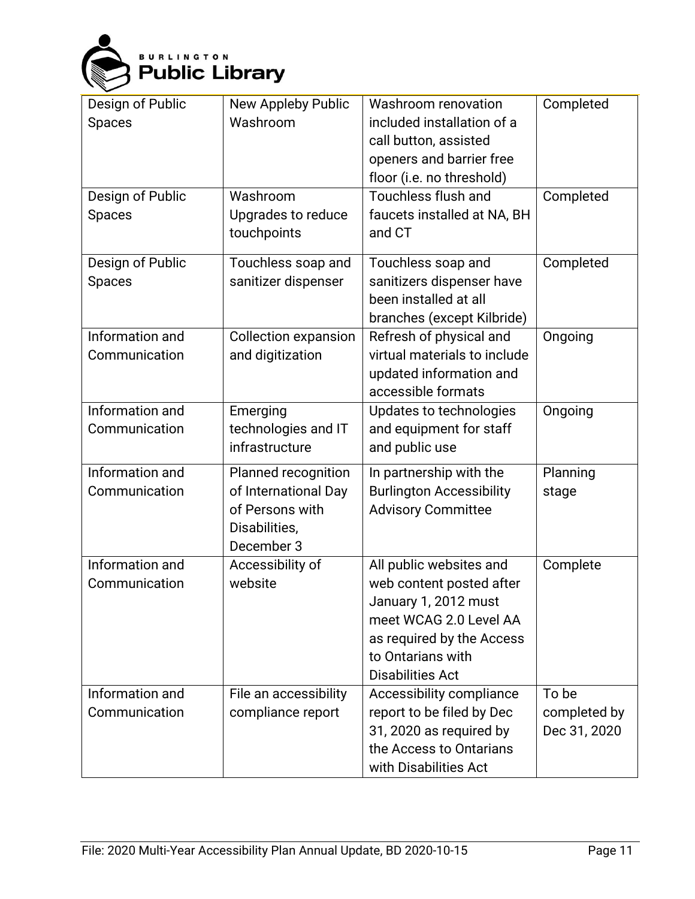

| Design of Public<br><b>Spaces</b><br>Design of Public<br><b>Spaces</b> | New Appleby Public<br>Washroom<br>Washroom<br>Upgrades to reduce<br>touchpoints               | Washroom renovation<br>included installation of a<br>call button, assisted<br>openers and barrier free<br>floor (i.e. no threshold)<br>Touchless flush and<br>faucets installed at NA, BH<br>and CT | Completed<br>Completed                |
|------------------------------------------------------------------------|-----------------------------------------------------------------------------------------------|-----------------------------------------------------------------------------------------------------------------------------------------------------------------------------------------------------|---------------------------------------|
| Design of Public<br><b>Spaces</b>                                      | Touchless soap and<br>sanitizer dispenser                                                     | Touchless soap and<br>sanitizers dispenser have<br>been installed at all<br>branches (except Kilbride)                                                                                              | Completed                             |
| Information and<br>Communication                                       | <b>Collection expansion</b><br>and digitization                                               | Refresh of physical and<br>virtual materials to include<br>updated information and<br>accessible formats                                                                                            | Ongoing                               |
| Information and<br>Communication                                       | Emerging<br>technologies and IT<br>infrastructure                                             | Updates to technologies<br>and equipment for staff<br>and public use                                                                                                                                | Ongoing                               |
| Information and<br>Communication                                       | Planned recognition<br>of International Day<br>of Persons with<br>Disabilities,<br>December 3 | In partnership with the<br><b>Burlington Accessibility</b><br><b>Advisory Committee</b>                                                                                                             | Planning<br>stage                     |
| Information and<br>Communication                                       | Accessibility of<br>website                                                                   | All public websites and<br>web content posted after<br>January 1, 2012 must<br>meet WCAG 2.0 Level AA<br>as required by the Access<br>to Ontarians with<br><b>Disabilities Act</b>                  | Complete                              |
| Information and<br>Communication                                       | File an accessibility<br>compliance report                                                    | Accessibility compliance<br>report to be filed by Dec<br>31, 2020 as required by<br>the Access to Ontarians<br>with Disabilities Act                                                                | To be<br>completed by<br>Dec 31, 2020 |